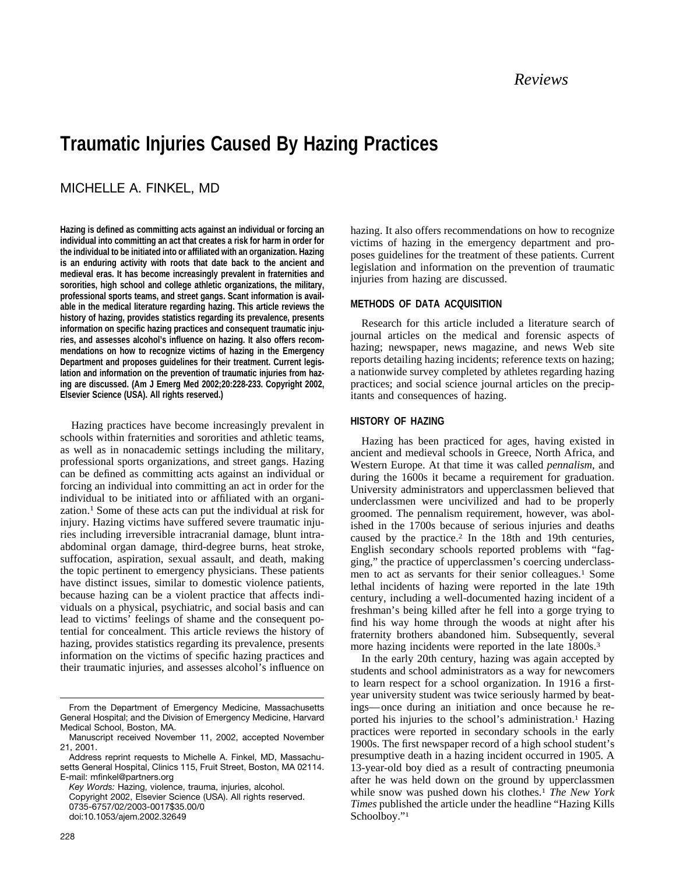# **Traumatic Injuries Caused By Hazing Practices**

## MICHELLE A. FINKEL, MD

**Hazing is defined as committing acts against an individual or forcing an individual into committing an act that creates a risk for harm in order for the individual to be initiated into or affiliated with an organization. Hazing is an enduring activity with roots that date back to the ancient and medieval eras. It has become increasingly prevalent in fraternities and sororities, high school and college athletic organizations, the military, professional sports teams, and street gangs. Scant information is available in the medical literature regarding hazing. This article reviews the history of hazing, provides statistics regarding its prevalence, presents information on specific hazing practices and consequent traumatic injuries, and assesses alcohol's influence on hazing. It also offers recommendations on how to recognize victims of hazing in the Emergency Department and proposes guidelines for their treatment. Current legislation and information on the prevention of traumatic injuries from hazing are discussed. (Am J Emerg Med 2002;20:228-233. Copyright 2002, Elsevier Science (USA). All rights reserved.)**

Hazing practices have become increasingly prevalent in schools within fraternities and sororities and athletic teams, as well as in nonacademic settings including the military, professional sports organizations, and street gangs. Hazing can be defined as committing acts against an individual or forcing an individual into committing an act in order for the individual to be initiated into or affiliated with an organization.1 Some of these acts can put the individual at risk for injury. Hazing victims have suffered severe traumatic injuries including irreversible intracranial damage, blunt intraabdominal organ damage, third-degree burns, heat stroke, suffocation, aspiration, sexual assault, and death, making the topic pertinent to emergency physicians. These patients have distinct issues, similar to domestic violence patients, because hazing can be a violent practice that affects individuals on a physical, psychiatric, and social basis and can lead to victims' feelings of shame and the consequent potential for concealment. This article reviews the history of hazing, provides statistics regarding its prevalence, presents information on the victims of specific hazing practices and their traumatic injuries, and assesses alcohol's influence on

Address reprint requests to Michelle A. Finkel, MD, Massachusetts General Hospital, Clinics 115, Fruit Street, Boston, MA 02114. E-mail: mfinkel@partners.org

*Key Words:* Hazing, violence, trauma, injuries, alcohol. Copyright 2002, Elsevier Science (USA). All rights reserved. 0735-6757/02/2003-0017\$35.00/0

doi:10.1053/ajem.2002.32649

hazing. It also offers recommendations on how to recognize victims of hazing in the emergency department and proposes guidelines for the treatment of these patients. Current legislation and information on the prevention of traumatic injuries from hazing are discussed.

## **METHODS OF DATA ACQUISITION**

Research for this article included a literature search of journal articles on the medical and forensic aspects of hazing; newspaper, news magazine, and news Web site reports detailing hazing incidents; reference texts on hazing; a nationwide survey completed by athletes regarding hazing practices; and social science journal articles on the precipitants and consequences of hazing.

## **HISTORY OF HAZING**

Hazing has been practiced for ages, having existed in ancient and medieval schools in Greece, North Africa, and Western Europe. At that time it was called *pennalism*, and during the 1600s it became a requirement for graduation. University administrators and upperclassmen believed that underclassmen were uncivilized and had to be properly groomed. The pennalism requirement, however, was abolished in the 1700s because of serious injuries and deaths caused by the practice.2 In the 18th and 19th centuries, English secondary schools reported problems with "fagging," the practice of upperclassmen's coercing underclassmen to act as servants for their senior colleagues.<sup>1</sup> Some lethal incidents of hazing were reported in the late 19th century, including a well-documented hazing incident of a freshman's being killed after he fell into a gorge trying to find his way home through the woods at night after his fraternity brothers abandoned him. Subsequently, several more hazing incidents were reported in the late 1800s.<sup>3</sup>

In the early 20th century, hazing was again accepted by students and school administrators as a way for newcomers to learn respect for a school organization. In 1916 a firstyear university student was twice seriously harmed by beatings— once during an initiation and once because he reported his injuries to the school's administration.<sup>1</sup> Hazing practices were reported in secondary schools in the early 1900s. The first newspaper record of a high school student's presumptive death in a hazing incident occurred in 1905. A 13-year-old boy died as a result of contracting pneumonia after he was held down on the ground by upperclassmen while snow was pushed down his clothes.<sup>1</sup> *The New York Times* published the article under the headline "Hazing Kills Schoolboy."<sup>1</sup>

From the Department of Emergency Medicine, Massachusetts General Hospital; and the Division of Emergency Medicine, Harvard Medical School, Boston, MA.

Manuscript received November 11, 2002, accepted November 21, 2001.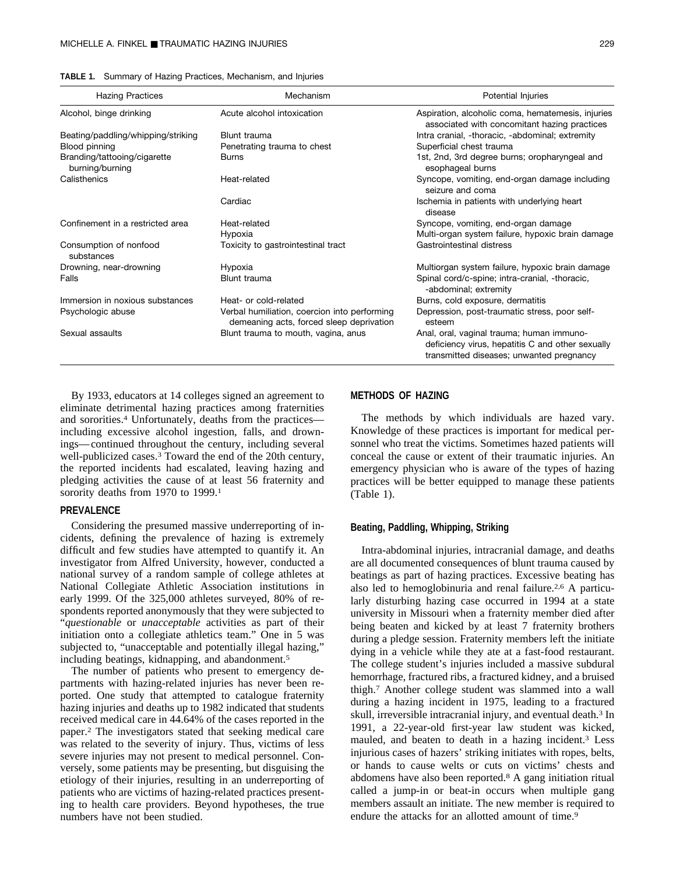|  |  |  |  | <b>TABLE 1.</b> Summary of Hazing Practices, Mechanism, and Injuries |  |
|--|--|--|--|----------------------------------------------------------------------|--|
|--|--|--|--|----------------------------------------------------------------------|--|

| <b>Hazing Practices</b>                         | Mechanism                                                                                | Potential Injuries                                                                                                                        |  |
|-------------------------------------------------|------------------------------------------------------------------------------------------|-------------------------------------------------------------------------------------------------------------------------------------------|--|
| Alcohol, binge drinking                         | Acute alcohol intoxication                                                               | Aspiration, alcoholic coma, hematemesis, injuries<br>associated with concomitant hazing practices                                         |  |
| Beating/paddling/whipping/striking              | Blunt trauma                                                                             | Intra cranial, -thoracic, -abdominal; extremity                                                                                           |  |
| Blood pinning                                   | Penetrating trauma to chest                                                              | Superficial chest trauma                                                                                                                  |  |
| Branding/tattooing/cigarette<br>burning/burning | <b>Burns</b>                                                                             | 1st, 2nd, 3rd degree burns; oropharyngeal and<br>esophageal burns                                                                         |  |
| Calisthenics                                    | Heat-related                                                                             | Syncope, vomiting, end-organ damage including<br>seizure and coma                                                                         |  |
|                                                 | Cardiac                                                                                  | Ischemia in patients with underlying heart<br>disease                                                                                     |  |
| Confinement in a restricted area                | Heat-related                                                                             | Syncope, vomiting, end-organ damage                                                                                                       |  |
|                                                 | Hypoxia                                                                                  | Multi-organ system failure, hypoxic brain damage                                                                                          |  |
| Consumption of nonfood<br>substances            | Toxicity to gastrointestinal tract                                                       | Gastrointestinal distress                                                                                                                 |  |
| Drowning, near-drowning                         | Hypoxia                                                                                  | Multiorgan system failure, hypoxic brain damage                                                                                           |  |
| Falls                                           | Blunt trauma                                                                             | Spinal cord/c-spine; intra-cranial, -thoracic,<br>-abdominal; extremity                                                                   |  |
| Immersion in noxious substances                 | Heat- or cold-related                                                                    | Burns, cold exposure, dermatitis                                                                                                          |  |
| Psychologic abuse                               | Verbal humiliation, coercion into performing<br>demeaning acts, forced sleep deprivation | Depression, post-traumatic stress, poor self-<br>esteem                                                                                   |  |
| Sexual assaults                                 | Blunt trauma to mouth, vagina, anus                                                      | Anal, oral, vaginal trauma; human immuno-<br>deficiency virus, hepatitis C and other sexually<br>transmitted diseases; unwanted pregnancy |  |

By 1933, educators at 14 colleges signed an agreement to eliminate detrimental hazing practices among fraternities and sororities.4 Unfortunately, deaths from the practices including excessive alcohol ingestion, falls, and drownings— continued throughout the century, including several well-publicized cases.<sup>3</sup> Toward the end of the 20th century, the reported incidents had escalated, leaving hazing and pledging activities the cause of at least 56 fraternity and sorority deaths from 1970 to 1999.<sup>1</sup>

#### **PREVALENCE**

Considering the presumed massive underreporting of incidents, defining the prevalence of hazing is extremely difficult and few studies have attempted to quantify it. An investigator from Alfred University, however, conducted a national survey of a random sample of college athletes at National Collegiate Athletic Association institutions in early 1999. Of the 325,000 athletes surveyed, 80% of respondents reported anonymously that they were subjected to "*questionable* or *unacceptable* activities as part of their initiation onto a collegiate athletics team." One in 5 was subjected to, "unacceptable and potentially illegal hazing," including beatings, kidnapping, and abandonment.5

The number of patients who present to emergency departments with hazing-related injuries has never been reported. One study that attempted to catalogue fraternity hazing injuries and deaths up to 1982 indicated that students received medical care in 44.64% of the cases reported in the paper.2 The investigators stated that seeking medical care was related to the severity of injury. Thus, victims of less severe injuries may not present to medical personnel. Conversely, some patients may be presenting, but disguising the etiology of their injuries, resulting in an underreporting of patients who are victims of hazing-related practices presenting to health care providers. Beyond hypotheses, the true numbers have not been studied.

## **METHODS OF HAZING**

The methods by which individuals are hazed vary. Knowledge of these practices is important for medical personnel who treat the victims. Sometimes hazed patients will conceal the cause or extent of their traumatic injuries. An emergency physician who is aware of the types of hazing practices will be better equipped to manage these patients (Table 1).

#### **Beating, Paddling, Whipping, Striking**

Intra-abdominal injuries, intracranial damage, and deaths are all documented consequences of blunt trauma caused by beatings as part of hazing practices. Excessive beating has also led to hemoglobinuria and renal failure.2,6 A particularly disturbing hazing case occurred in 1994 at a state university in Missouri when a fraternity member died after being beaten and kicked by at least 7 fraternity brothers during a pledge session. Fraternity members left the initiate dying in a vehicle while they ate at a fast-food restaurant. The college student's injuries included a massive subdural hemorrhage, fractured ribs, a fractured kidney, and a bruised thigh.7 Another college student was slammed into a wall during a hazing incident in 1975, leading to a fractured skull, irreversible intracranial injury, and eventual death.3 In 1991, a 22-year-old first-year law student was kicked, mauled, and beaten to death in a hazing incident.3 Less injurious cases of hazers' striking initiates with ropes, belts, or hands to cause welts or cuts on victims' chests and abdomens have also been reported.8 A gang initiation ritual called a jump-in or beat-in occurs when multiple gang members assault an initiate. The new member is required to endure the attacks for an allotted amount of time.<sup>9</sup>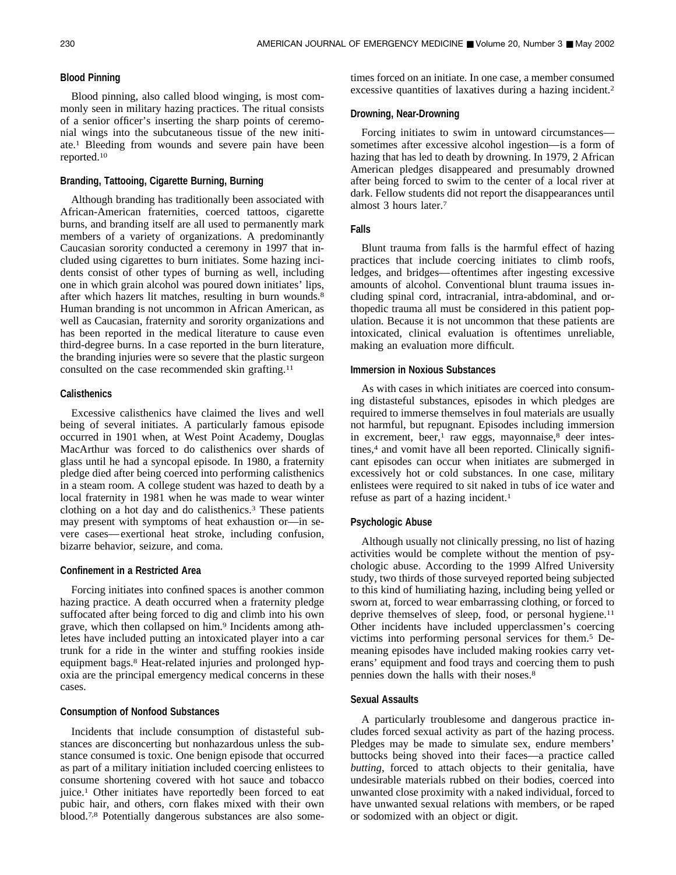#### **Blood Pinning**

Blood pinning, also called blood winging, is most commonly seen in military hazing practices. The ritual consists of a senior officer's inserting the sharp points of ceremonial wings into the subcutaneous tissue of the new initiate.1 Bleeding from wounds and severe pain have been reported.10

## **Branding, Tattooing, Cigarette Burning, Burning**

Although branding has traditionally been associated with African-American fraternities, coerced tattoos, cigarette burns, and branding itself are all used to permanently mark members of a variety of organizations. A predominantly Caucasian sorority conducted a ceremony in 1997 that included using cigarettes to burn initiates. Some hazing incidents consist of other types of burning as well, including one in which grain alcohol was poured down initiates' lips, after which hazers lit matches, resulting in burn wounds.<sup>8</sup> Human branding is not uncommon in African American, as well as Caucasian, fraternity and sorority organizations and has been reported in the medical literature to cause even third-degree burns. In a case reported in the burn literature, the branding injuries were so severe that the plastic surgeon consulted on the case recommended skin grafting.11

## **Calisthenics**

Excessive calisthenics have claimed the lives and well being of several initiates. A particularly famous episode occurred in 1901 when, at West Point Academy, Douglas MacArthur was forced to do calisthenics over shards of glass until he had a syncopal episode. In 1980, a fraternity pledge died after being coerced into performing calisthenics in a steam room. A college student was hazed to death by a local fraternity in 1981 when he was made to wear winter clothing on a hot day and do calisthenics.3 These patients may present with symptoms of heat exhaustion or—in severe cases— exertional heat stroke, including confusion, bizarre behavior, seizure, and coma.

## **Confinement in a Restricted Area**

Forcing initiates into confined spaces is another common hazing practice. A death occurred when a fraternity pledge suffocated after being forced to dig and climb into his own grave, which then collapsed on him.9 Incidents among athletes have included putting an intoxicated player into a car trunk for a ride in the winter and stuffing rookies inside equipment bags.8 Heat-related injuries and prolonged hypoxia are the principal emergency medical concerns in these cases.

#### **Consumption of Nonfood Substances**

Incidents that include consumption of distasteful substances are disconcerting but nonhazardous unless the substance consumed is toxic. One benign episode that occurred as part of a military initiation included coercing enlistees to consume shortening covered with hot sauce and tobacco juice.1 Other initiates have reportedly been forced to eat pubic hair, and others, corn flakes mixed with their own blood.7,8 Potentially dangerous substances are also sometimes forced on an initiate. In one case, a member consumed excessive quantities of laxatives during a hazing incident.<sup>2</sup>

#### **Drowning, Near-Drowning**

Forcing initiates to swim in untoward circumstances sometimes after excessive alcohol ingestion—is a form of hazing that has led to death by drowning. In 1979, 2 African American pledges disappeared and presumably drowned after being forced to swim to the center of a local river at dark. Fellow students did not report the disappearances until almost 3 hours later.<sup>7</sup>

#### **Falls**

Blunt trauma from falls is the harmful effect of hazing practices that include coercing initiates to climb roofs, ledges, and bridges— oftentimes after ingesting excessive amounts of alcohol. Conventional blunt trauma issues including spinal cord, intracranial, intra-abdominal, and orthopedic trauma all must be considered in this patient population. Because it is not uncommon that these patients are intoxicated, clinical evaluation is oftentimes unreliable, making an evaluation more difficult.

#### **Immersion in Noxious Substances**

As with cases in which initiates are coerced into consuming distasteful substances, episodes in which pledges are required to immerse themselves in foul materials are usually not harmful, but repugnant. Episodes including immersion in excrement, beer, $1$  raw eggs, mayonnaise, $8$  deer intestines,<sup>4</sup> and vomit have all been reported. Clinically significant episodes can occur when initiates are submerged in excessively hot or cold substances. In one case, military enlistees were required to sit naked in tubs of ice water and refuse as part of a hazing incident.1

## **Psychologic Abuse**

Although usually not clinically pressing, no list of hazing activities would be complete without the mention of psychologic abuse. According to the 1999 Alfred University study, two thirds of those surveyed reported being subjected to this kind of humiliating hazing, including being yelled or sworn at, forced to wear embarrassing clothing, or forced to deprive themselves of sleep, food, or personal hygiene.<sup>11</sup> Other incidents have included upperclassmen's coercing victims into performing personal services for them.5 Demeaning episodes have included making rookies carry veterans' equipment and food trays and coercing them to push pennies down the halls with their noses.8

#### **Sexual Assaults**

A particularly troublesome and dangerous practice includes forced sexual activity as part of the hazing process. Pledges may be made to simulate sex, endure members' buttocks being shoved into their faces—a practice called *butting*, forced to attach objects to their genitalia, have undesirable materials rubbed on their bodies, coerced into unwanted close proximity with a naked individual, forced to have unwanted sexual relations with members, or be raped or sodomized with an object or digit.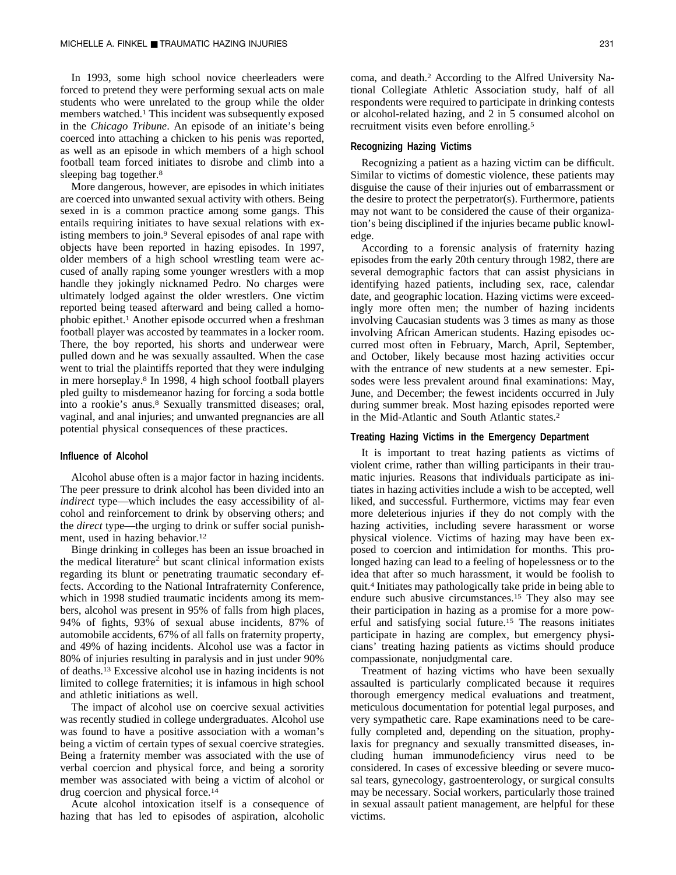In 1993, some high school novice cheerleaders were forced to pretend they were performing sexual acts on male students who were unrelated to the group while the older members watched.<sup>1</sup> This incident was subsequently exposed in the *Chicago Tribune*. An episode of an initiate's being coerced into attaching a chicken to his penis was reported, as well as an episode in which members of a high school football team forced initiates to disrobe and climb into a sleeping bag together.8

More dangerous, however, are episodes in which initiates are coerced into unwanted sexual activity with others. Being sexed in is a common practice among some gangs. This entails requiring initiates to have sexual relations with existing members to join.9 Several episodes of anal rape with objects have been reported in hazing episodes. In 1997, older members of a high school wrestling team were accused of anally raping some younger wrestlers with a mop handle they jokingly nicknamed Pedro. No charges were ultimately lodged against the older wrestlers. One victim reported being teased afterward and being called a homophobic epithet.1 Another episode occurred when a freshman football player was accosted by teammates in a locker room. There, the boy reported, his shorts and underwear were pulled down and he was sexually assaulted. When the case went to trial the plaintiffs reported that they were indulging in mere horseplay.8 In 1998, 4 high school football players pled guilty to misdemeanor hazing for forcing a soda bottle into a rookie's anus.8 Sexually transmitted diseases; oral, vaginal, and anal injuries; and unwanted pregnancies are all potential physical consequences of these practices.

### **Influence of Alcohol**

Alcohol abuse often is a major factor in hazing incidents. The peer pressure to drink alcohol has been divided into an *indirect* type—which includes the easy accessibility of alcohol and reinforcement to drink by observing others; and the *direct* type—the urging to drink or suffer social punishment, used in hazing behavior.<sup>12</sup>

Binge drinking in colleges has been an issue broached in the medical literature<sup>2</sup> but scant clinical information exists regarding its blunt or penetrating traumatic secondary effects. According to the National Intrafraternity Conference, which in 1998 studied traumatic incidents among its members, alcohol was present in 95% of falls from high places, 94% of fights, 93% of sexual abuse incidents, 87% of automobile accidents, 67% of all falls on fraternity property, and 49% of hazing incidents. Alcohol use was a factor in 80% of injuries resulting in paralysis and in just under 90% of deaths.13 Excessive alcohol use in hazing incidents is not limited to college fraternities; it is infamous in high school and athletic initiations as well.

The impact of alcohol use on coercive sexual activities was recently studied in college undergraduates. Alcohol use was found to have a positive association with a woman's being a victim of certain types of sexual coercive strategies. Being a fraternity member was associated with the use of verbal coercion and physical force, and being a sorority member was associated with being a victim of alcohol or drug coercion and physical force.14

Acute alcohol intoxication itself is a consequence of hazing that has led to episodes of aspiration, alcoholic

coma, and death.2 According to the Alfred University National Collegiate Athletic Association study, half of all respondents were required to participate in drinking contests or alcohol-related hazing, and 2 in 5 consumed alcohol on recruitment visits even before enrolling.<sup>5</sup>

## **Recognizing Hazing Victims**

Recognizing a patient as a hazing victim can be difficult. Similar to victims of domestic violence, these patients may disguise the cause of their injuries out of embarrassment or the desire to protect the perpetrator(s). Furthermore, patients may not want to be considered the cause of their organization's being disciplined if the injuries became public knowledge.

According to a forensic analysis of fraternity hazing episodes from the early 20th century through 1982, there are several demographic factors that can assist physicians in identifying hazed patients, including sex, race, calendar date, and geographic location. Hazing victims were exceedingly more often men; the number of hazing incidents involving Caucasian students was 3 times as many as those involving African American students. Hazing episodes occurred most often in February, March, April, September, and October, likely because most hazing activities occur with the entrance of new students at a new semester. Episodes were less prevalent around final examinations: May, June, and December; the fewest incidents occurred in July during summer break. Most hazing episodes reported were in the Mid-Atlantic and South Atlantic states.2

#### **Treating Hazing Victims in the Emergency Department**

It is important to treat hazing patients as victims of violent crime, rather than willing participants in their traumatic injuries. Reasons that individuals participate as initiates in hazing activities include a wish to be accepted, well liked, and successful. Furthermore, victims may fear even more deleterious injuries if they do not comply with the hazing activities, including severe harassment or worse physical violence. Victims of hazing may have been exposed to coercion and intimidation for months. This prolonged hazing can lead to a feeling of hopelessness or to the idea that after so much harassment, it would be foolish to quit.4 Initiates may pathologically take pride in being able to endure such abusive circumstances.15 They also may see their participation in hazing as a promise for a more powerful and satisfying social future.15 The reasons initiates participate in hazing are complex, but emergency physicians' treating hazing patients as victims should produce compassionate, nonjudgmental care.

Treatment of hazing victims who have been sexually assaulted is particularly complicated because it requires thorough emergency medical evaluations and treatment, meticulous documentation for potential legal purposes, and very sympathetic care. Rape examinations need to be carefully completed and, depending on the situation, prophylaxis for pregnancy and sexually transmitted diseases, including human immunodeficiency virus need to be considered. In cases of excessive bleeding or severe mucosal tears, gynecology, gastroenterology, or surgical consults may be necessary. Social workers, particularly those trained in sexual assault patient management, are helpful for these victims.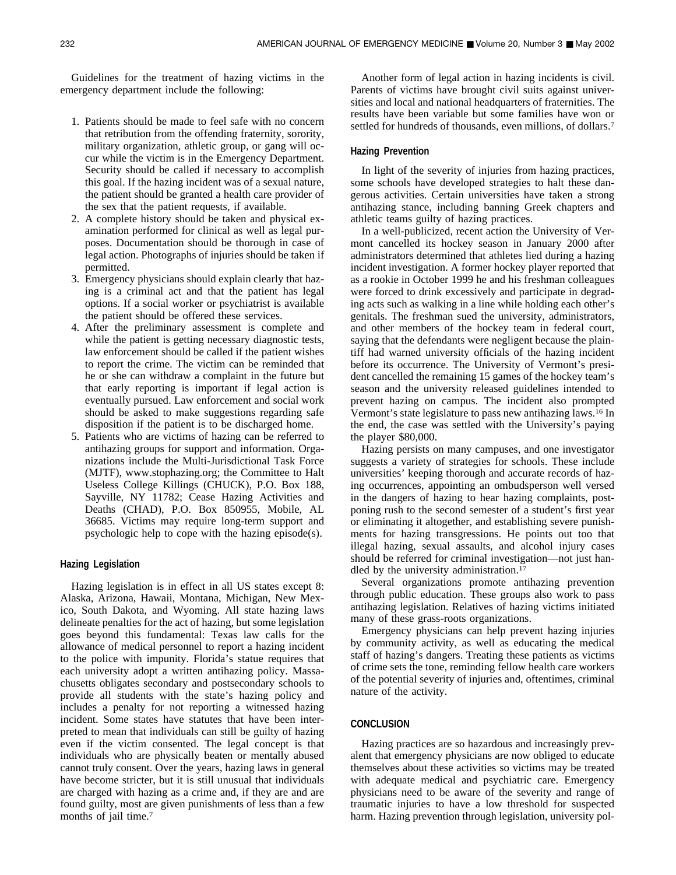Guidelines for the treatment of hazing victims in the emergency department include the following:

- 1. Patients should be made to feel safe with no concern that retribution from the offending fraternity, sorority, military organization, athletic group, or gang will occur while the victim is in the Emergency Department. Security should be called if necessary to accomplish this goal. If the hazing incident was of a sexual nature, the patient should be granted a health care provider of the sex that the patient requests, if available.
- 2. A complete history should be taken and physical examination performed for clinical as well as legal purposes. Documentation should be thorough in case of legal action. Photographs of injuries should be taken if permitted.
- 3. Emergency physicians should explain clearly that hazing is a criminal act and that the patient has legal options. If a social worker or psychiatrist is available the patient should be offered these services.
- 4. After the preliminary assessment is complete and while the patient is getting necessary diagnostic tests, law enforcement should be called if the patient wishes to report the crime. The victim can be reminded that he or she can withdraw a complaint in the future but that early reporting is important if legal action is eventually pursued. Law enforcement and social work should be asked to make suggestions regarding safe disposition if the patient is to be discharged home.
- 5. Patients who are victims of hazing can be referred to antihazing groups for support and information. Organizations include the Multi-Jurisdictional Task Force (MJTF), www.stophazing.org; the Committee to Halt Useless College Killings (CHUCK), P.O. Box188, Sayville, NY 11782; Cease Hazing Activities and Deaths (CHAD), P.O. Box 850955, Mobile, AL 36685. Victims may require long-term support and psychologic help to cope with the hazing episode(s).

## **Hazing Legislation**

Hazing legislation is in effect in all US states except 8: Alaska, Arizona, Hawaii, Montana, Michigan, New Mexico, South Dakota, and Wyoming. All state hazing laws delineate penalties for the act of hazing, but some legislation goes beyond this fundamental: Texas law calls for the allowance of medical personnel to report a hazing incident to the police with impunity. Florida's statue requires that each university adopt a written antihazing policy. Massachusetts obligates secondary and postsecondary schools to provide all students with the state's hazing policy and includes a penalty for not reporting a witnessed hazing incident. Some states have statutes that have been interpreted to mean that individuals can still be guilty of hazing even if the victim consented. The legal concept is that individuals who are physically beaten or mentally abused cannot truly consent. Over the years, hazing laws in general have become stricter, but it is still unusual that individuals are charged with hazing as a crime and, if they are and are found guilty, most are given punishments of less than a few months of jail time.<sup>7</sup>

Another form of legal action in hazing incidents is civil. Parents of victims have brought civil suits against universities and local and national headquarters of fraternities. The results have been variable but some families have won or settled for hundreds of thousands, even millions, of dollars.7

## **Hazing Prevention**

In light of the severity of injuries from hazing practices, some schools have developed strategies to halt these dangerous activities. Certain universities have taken a strong antihazing stance, including banning Greek chapters and athletic teams guilty of hazing practices.

In a well-publicized, recent action the University of Vermont cancelled its hockey season in January 2000 after administrators determined that athletes lied during a hazing incident investigation. A former hockey player reported that as a rookie in October 1999 he and his freshman colleagues were forced to drink excessively and participate in degrading acts such as walking in a line while holding each other's genitals. The freshman sued the university, administrators, and other members of the hockey team in federal court, saying that the defendants were negligent because the plaintiff had warned university officials of the hazing incident before its occurrence. The University of Vermont's president cancelled the remaining 15 games of the hockey team's season and the university released guidelines intended to prevent hazing on campus. The incident also prompted Vermont's state legislature to pass new antihazing laws.16 In the end, the case was settled with the University's paying the player \$80,000.

Hazing persists on many campuses, and one investigator suggests a variety of strategies for schools. These include universities' keeping thorough and accurate records of hazing occurrences, appointing an ombudsperson well versed in the dangers of hazing to hear hazing complaints, postponing rush to the second semester of a student's first year or eliminating it altogether, and establishing severe punishments for hazing transgressions. He points out too that illegal hazing, sexual assaults, and alcohol injury cases should be referred for criminal investigation—not just handled by the university administration.17

Several organizations promote antihazing prevention through public education. These groups also work to pass antihazing legislation. Relatives of hazing victims initiated many of these grass-roots organizations.

Emergency physicians can help prevent hazing injuries by community activity, as well as educating the medical staff of hazing's dangers. Treating these patients as victims of crime sets the tone, reminding fellow health care workers of the potential severity of injuries and, oftentimes, criminal nature of the activity.

## **CONCLUSION**

Hazing practices are so hazardous and increasingly prevalent that emergency physicians are now obliged to educate themselves about these activities so victims may be treated with adequate medical and psychiatric care. Emergency physicians need to be aware of the severity and range of traumatic injuries to have a low threshold for suspected harm. Hazing prevention through legislation, university pol-